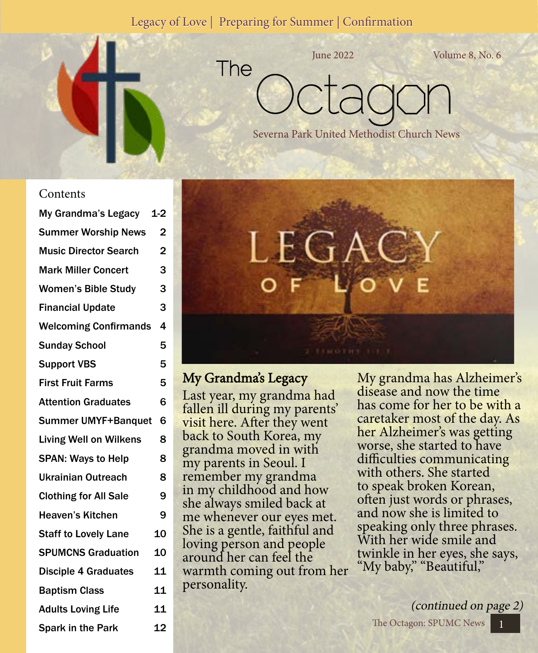#### Legacy of Love | Preparing for Summer | Confirmation

The



June 2022 Volume 8, No. 6

Octagon

Severna Park United Methodist Church News

**Contents** 

| My Grandma's Legacy 1-2       |                |
|-------------------------------|----------------|
| <b>Summer Worship News</b>    | 2              |
| <b>Music Director Search</b>  | $\overline{2}$ |
| <b>Mark Miller Concert</b>    | 3              |
| <b>Women's Bible Study</b>    | 3              |
| <b>Financial Update</b>       | 3              |
| <b>Welcoming Confirmands</b>  | 4              |
| <b>Sunday School</b>          | 5              |
| <b>Support VBS</b>            | 5              |
| <b>First Fruit Farms</b>      | 5              |
| <b>Attention Graduates</b>    | 6              |
| <b>Summer UMYF+Banquet</b>    | 6              |
| <b>Living Well on Wilkens</b> | 8              |
| <b>SPAN: Ways to Help</b>     | 8              |
| Ukrainian Outreach            | 8              |
| <b>Clothing for All Sale</b>  | 9              |
| <b>Heaven's Kitchen</b>       | 9              |
| <b>Staff to Lovely Lane</b>   | 10             |
| <b>SPUMCNS Graduation</b>     | 10             |
| <b>Disciple 4 Graduates</b>   | 11             |
| <b>Baptism Class</b>          | 11             |
| <b>Adults Loving Life</b>     | 11             |
| <b>Spark in the Park</b>      | 12             |



My Grandma's Legacy

Last year, my grandma had fallen ill during my parents' visit here. After they went back to South Korea, my grandma moved in with my parents in Seoul. I remember my grandma in my childhood and how she always smiled back at me whenever our eyes met. She is a gentle, faithful and loving person and people around her can feel the warmth coming out from her personality.

My grandma has Alzheimer's disease and now the time has come for her to be with a caretaker most of the day. As her Alzheimer's was getting worse, she started to have difficulties communicating with others. She started to speak broken Korean, often just words or phrases, and now she is limited to speaking only three phrases. With her wide smile and twinkle in her eyes, she says, "My baby," "Beautiful,"

The Octagon: SPUMC News 1 (continued on page 2)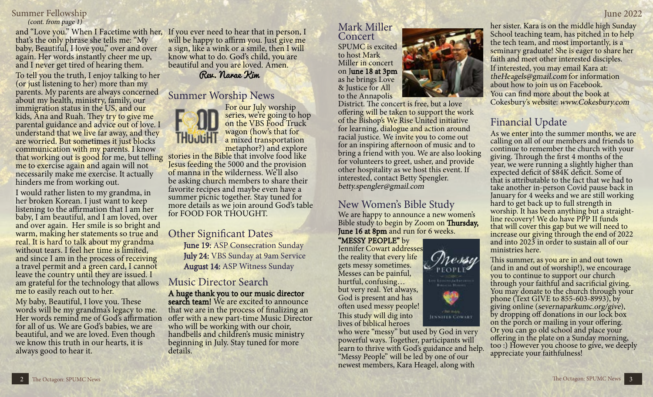# Summer Fellowship June 2022

that's the only phrase she tells me: "My baby, Beautiful, I love you," over and over again. Her words instantly cheer me up, and I never get tired of hearing them.

To tell you the truth, I enjoy talking to her (or just listening to her) more than my parents. My parents are always concerned about my health, ministry, family, our immigration status in the US, and our kids, Ana and Ruah. They try to give me parental guidance and advice out of love. I understand that we live far away, and they are worried. But sometimes it just blocks communication with my parents. I know that working out is good for me, but telling me to exercise again and again will not necessarily make me exercise. It actually hinders me from working out.

I would rather listen to my grandma, in her broken Korean. I just want to keep listening to the affirmation that I am her baby, I am beautiful, and I am loved, over and over again. Her smile is so bright and warm, making her statements so true and real. It is hard to talk about my grandma without tears. I feel her time is limited, and since I am in the process of receiving a travel permit and a green card, I cannot leave the country until they are issued. I am grateful for the technology that allows me to easily reach out to her.

My baby, Beautiful, I love you. These words will be my grandma's legacy to me. Her words remind me of God's affirmation for all of us. We are God's babies, we are beautiful, and we are loved. Even though we know this truth in our hearts, it is always good to hear it.

(cont. from page 1)<br>and "Love you." When I Facetime with her, If you ever need to hear that in person, I Mark Miller will be happy to affirm you. Just give me a sign, like a wink or a smile, then I will know what to do. God's child, you are beautiful and you are loved. Amen.

Rev. Narae Kim

### Summer Worship News

For our July worship series, we're going to hop on the VBS Food Truck wagon (how's that for a mixed transportation<br>metaphor?) and explore

stories in the Bible that involve food like Jesus feeding the 5000 and the provision of manna in the wilderness. We'll also be asking church members to share their favorite recipes and maybe even have a summer picnic together. Stay tuned for more details as we join around God's table for FOOD FOR THOUGHT.

#### Other Significant Dates

 June 19: ASP Consecration Sunday July 24: VBS Sunday at 9am Service August 14: ASP Witness Sunday

### Music Director Search

A huge thank you to our music director search team! We are excited to announce that we are in the process of finalizing an offer with a new part-time Music Director who will be working with our choir, handbells and children's music ministry beginning in July. Stay tuned for more details.

# Concert

SPUMC is excited to host Mark Miller in concert on June 18 at 3pm as he brings Love & Justice for All to the Annapolis

District. The concert is free, but a love offering will be taken to support the work of the Bishop's We Rise United initiative for learning, dialogue and action around racial justice. We invite you to come out for an inspiring afternoon of music and to bring a friend with you. We are also looking for volunteers to greet, usher, and provide other hospitality as we host this event. If interested, contact Betty Spengler. betty.spengler@gmail.com

# New Women's Bible Study

We are happy to announce a new women's Bible study to begin by Zoom on Thursday, June 16 at 8pm and run for 6 weeks.

> ressu **PEOPLE**

**ILNNIFEE COWART** 

"MESSY PEOPLE" by Jennifer Cowart addresses the reality that every life gets messy sometimes. Messes can be painful, hurtful, confusing… but very real. Yet always, God is present and has often used messy people! This study will dig into lives of biblical heroes

who were "messy" but used by God in very powerful ways. Together, participants will learn to thrive with God's guidance and help. "Messy People" will be led by one of our newest members, Kara Heagel, along with



Cokesbury's website: www.Cokesbury.com

# Financial Update

As we enter into the summer months, we are calling on all of our members and friends to continue to remember the church with your giving. Through the first 4 months of the year, we were running a slightly higher than expected deficit of \$84K deficit. Some of that is attributable to the fact that we had to take another in-person Covid pause back in January for 4 weeks and we are still working hard to get back up to full strength in worship. It has been anything but a straightline recovery! We do have PPP II funds that will cover this gap but we will need to increase our giving through the end of 2022 and into 2023 in order to sustain all of our ministries here.

This summer, as you are in and out town (and in and out of worship!), we encourage you to continue to support our church through your faithful and sacrificial giving. You may donate to the church through your phone (Text GIVE to 855-603-8993), by giving online (severnaparkumc.org/give), by dropping off donations in our lock box on the porch or mailing in your offering. Or you can go old school and place your offering in the plate on a Sunday morning, too :) However you choose to give, we deeply appreciate your faithfulness!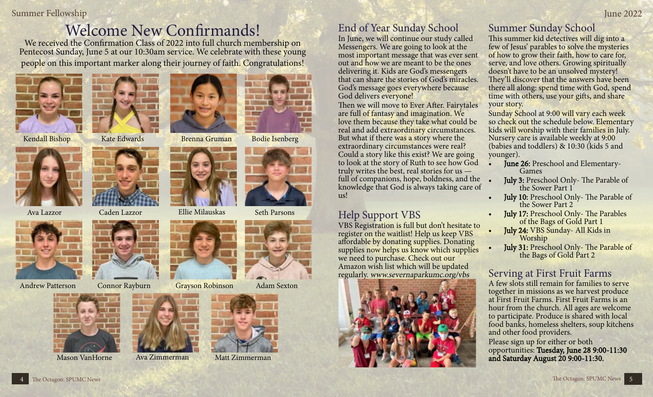#### Summer Fellowship June 2022

# Welcome New Confirmands!

We received the Confirmation Class of 2022 into full church membership on Pentecost Sunday, June 5 at our 10:30am service. We celebrate with these young people on this important marker along their journey of faith. Congratulations!











Mason VanHorne Ava Zimmerman Matt Zimmerman







Kendall Bishop Kate Edwards Brenna Gruman Bodie Isenberg





Andrew Patterson Connor Rayburn Grayson Robinson Adam Sexton



End of Year Sunday School

In June, we will continue our study called Messengers. We are going to look at the most important message that was ever sent out and how we are meant to be the ones delivering it. Kids are God's messengers that can share the stories of God's miracles. God's message goes everywhere because God delivers everyone!

Then we will move to Ever After. Fairytales are full of fantasy and imagination. We love them because they take what could be real and add extraordinary circumstances. But what if there was a story where the extraordinary circumstances were real? Could a story like this exist? We are going to look at the story of Ruth to see how God truly writes the best, real stories for us full of companions, hope, boldness, and the knowledge that God is always taking care of  $\overline{u}$ 

# Help Support VBS

VBS Registration is full but don't hesitate to register on the waitlist! Help us keep VBS affordable by donating supplies. Donating supplies now helps us know which supplies we need to purchase. Check out our Amazon wish list which will be updated regularly. www.severnaparkumc.org/vbs



# Summer Sunday School

This summer kid detectives will dig into a few of Jesus' parables to solve the mysteries of how to grow their faith, how to care for, serve, and love others. Growing spiritually doesn't have to be an unsolved mystery! They'll discover that the answers have been there all along: spend time with God, spend time with others, use your gifts, and share your story.

Sunday School at 9:00 will vary each week so check out the schedule below. Elementary kids will worship with their families in July. Nursery care is available weekly at 9:00 (babies and toddlers) & 10:30 (kids 5 and younger).

- June 26: Preschool and Elementary-<br>Games
	- July 3: Preschool Only- The Parable of the Sower Part 1
	- July 10: Preschool Only- The Parable of the Sower Part 2
	- July 17: Preschool Only- The Parables of the Bags of Gold Part 1
	- July 24: VBS Sunday- All Kids in Worship
- July 31: Preschool Only- The Parable of the Bags of Gold Part 2

# Serving at First Fruit Farms

A few slots still remain for families to serve together in missions as we harvest produce at First Fruit Farms. First Fruit Farms is an hour from the church. All ages are welcome to participate. Produce is shared with local food banks, homeless shelters, soup kitchens and other food providers.

Please sign up for either or both opportunities: Tuesday, June 28 9:00-11:30 and Saturday August 20 9:00-11:30.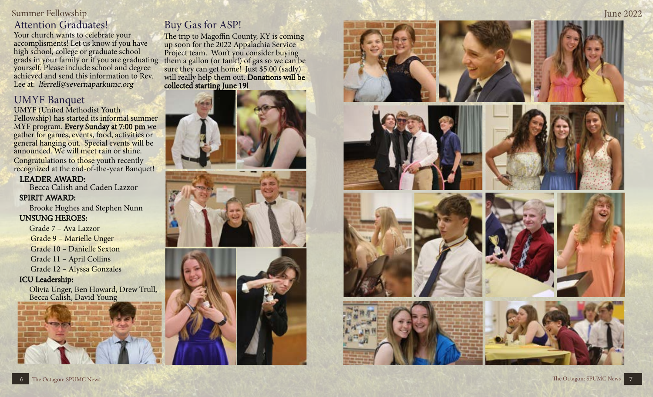# Attention Graduates!

Your church wants to celebrate your accomplisments! Let us know if you have high school, college or graduate school grads in your family or if you are graduating yourself. Please include school and degree achieved and send this information to Rev. Lee at: lferrell@severnaparkumc.org

# UMYF Banquet

UMYF (United Methodist Youth Fellowship) has started its informal summer MYF program. Every Sunday at 7:00 pm we gather for games, events, food, activities or general hanging out. Special events will be announced. We will meet rain or shine.

Congratulations to those youth recently recognized at the end-of-the-year Banquet!

#### LEADER AWARD:

**Becca Calish and Caden Lazzor** 

SPIRIT AWARD:<br>Brooke Hughes and Stephen Nunn UNSUNG HEROES:

Grade 7 – Ava Lazzor Grade 9 – Marielle Unger Grade 10 – Danielle Sexton Grade 11 – April Collins Grade 12 – Alyssa Gonzales

#### ICU Leadership:

Olivia Unger, Ben Howard, Drew Trull, Becca Calish, David Young

# Buy Gas for ASP!

The trip to Magoffin County, KY is coming up soon for the 2022 Appalachia Service Project team. Won't you consider buying them a gallon (or tank!) of gas so we can be sure they can get home! Just \$5.00 (sadly) will really help them out. Donations will be collected starting June 19!







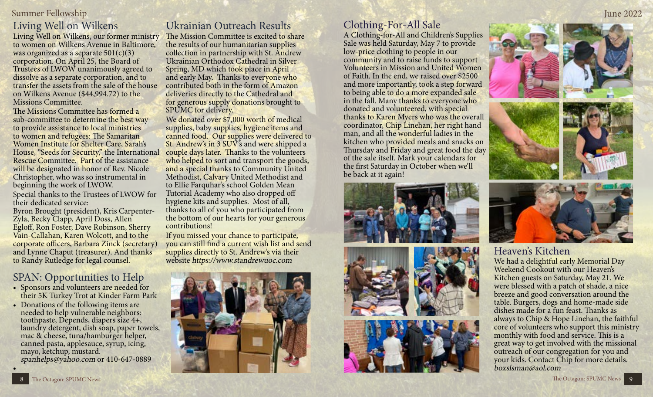# Summer Fellowship June 2022 Living Well on Wilkens

Living Well on Wilkens, our former ministry to women on Wilkens Avenue in Baltimore, was organized as a separate  $501(c)(3)$ corporation. On April 25, the Board of Trustees of LWOW unanimously agreed to dissolve as a separate corporation, and to transfer the assets from the sale of the house on Wilkens Avenue (\$44,994.72) to the Missions Committee.

The Missions Committee has formed a sub-committee to determine the best way to provide assistance to local ministries to women and refugees: The Samaritan Women Institute for Shelter Care, Sarah's House, "Seeds for Security," the International Rescue Committee. Part of the assistance will be designated in honor of Rev. Nicole Christopher, who was so instrumental in beginning the work of LWOW.

Special thanks to the Trustees of LWOW for their dedicated service: Byron Brought (president), Kris Carpenter-Zyla, Becky Clapp, April Doss, Allen Egloff, Ron Foster, Dave Robinson, Sherry Vain-Callahan, Karen Wolcott, and to the corporate officers, Barbara Zinck (secretary) and Lynne Chaput (treasurer). And thanks to Randy Rutledge for legal counsel.

## SPAN: Opportunities to Help

- Sponsors and volunteers are needed for their 5K Turkey Trot at Kinder Farm Park
- Donations of the following items are needed to help vulnerable neighbors: toothpaste, Depends, diapers size 4+, laundry detergent, dish soap, paper towels, mac & cheese, tuna/hamburger helper, canned pasta, applesauce, syrup, icing, mayo, ketchup, mustard. spanhelps@yahoo.com or 410-647-0889

# Ukrainian Outreach Results

The Mission Committee is excited to share the results of our humanitarian supplies collection in partnership with St. Andrew Ukrainian Orthodox Cathedral in Silver Spring, MD which took place in April and early May. Thanks to everyone who contributed both in the form of Amazon deliveries directly to the Cathedral and for generous supply donations brought to SPUMC for delivery.

We donated over \$7,000 worth of medical supplies, baby supplies, hygiene items and canned food. Our supplies were delivered to St. Andrew's in 3 SUV's and were shipped a couple days later. Thanks to the volunteers who helped to sort and transport the goods, and a special thanks to Community United Methodist, Calvary United Methodist and to Ellie Farquhar's school Golden Mean Tutorial Academy who also dropped off hygiene kits and supplies. Most of all, thanks to all of you who participated from the bottom of our hearts for your generous contributions!

If you missed your chance to participate, you can still find a current wish list and send supplies directly to St. Andrew's via their website https://www.standrewuoc.com



# Clothing-For-All Sale

A Clothing-for-All and Children's Supplies Sale was held Saturday, May 7 to provide low-price clothing to people in our community and to raise funds to support Volunteers in Mission and United Women of Faith. In the end, we raised over \$2500 and more importantly, took a step forward to being able to do a more expanded sale in the fall. Many thanks to everyone who donated and volunteered, with special thanks to Karen Myers who was the overall coordinator, Chip Linehan, her right hand man, and all the wonderful ladies in the kitchen who provided meals and snacks on Thursday and Friday and great food the day of the sale itself. Mark your calendars for the first Saturday in October when we'll be back at it again!











# Heaven's Kitchen

We had a delightful early Memorial Day Weekend Cookout with our Heaven's Kitchen guests on Saturday, May 21. We were blessed with a patch of shade, a nice breeze and good conversation around the table. Burgers, dogs and home-made side dishes made for a fun feast. Thanks as always to Chip & Hope Linehan, the faithful core of volunteers who support this ministry monthly with food and service. This is a great way to get involved with the missional outreach of our congregation for you and your kids. Contact Chip for more details. boxslsman@aol.com

•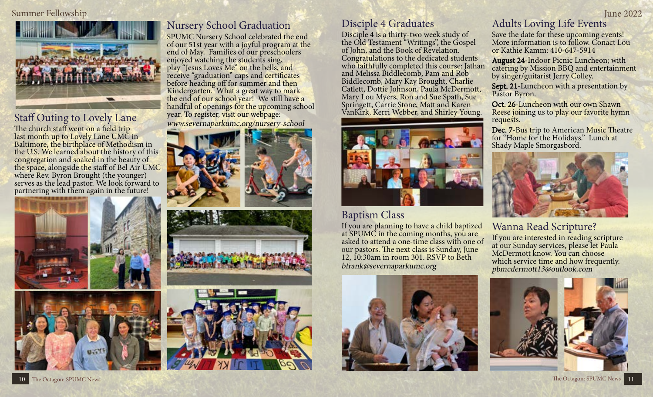#### Summer Fellowship June 2022



# Staff Outing to Lovely Lane

The church staff went on a field trip last month up to Lovely Lane UMC in Baltimore, the birthplace of Methodism in the U.S. We learned about the history of this congregation and soaked in the beauty of the space, alongside the staff of Bel Air UMC where Rev. Byron Brought (the younger) serves as the lead pastor. We look forward to partnering with them again in the future!





# Nursery School Graduation

SPUMC Nursery School celebrated the end of our 51st year with a joyful program at the end of May. Families of our preschoolers enjoyed watching the students sing, play "Jesus Loves Me" on the bells, and receive "graduation" caps and certificates before heading off for summer and then Kindergarten. What a great way to mark the end of our school year! We still have a handful of openings for the upcoming school year. To register, visit our webpage: www.severnaparkumc.org/nursery-school





### Disciple 4 Graduates

Disciple 4 is a thirty-two week study of the Old Testament "Writings", the Gospel of John, and the Book of Revelation. Congratulations to the dedicated students who faithfully completed this course: Jathan and Melissa Biddlecomb, Pam and Rob Biddlecomb, Mary Kay Brought, Charlie Catlett, Dottie Johnson, Paula McDermott, Mary Lou Myers, Ron and Sue Spath, Sue Springett, Carrie Stone, Matt and Karen VanKirk, Kerri Webber, and Shirley Young.



## Baptism Class

If you are planning to have a child baptized at SPUMC in the coming months, you are asked to attend a one-time class with one of our pastors. The next class is Sunday, June 12, 10:30am in room 301. RSVP to Beth bfrank@severnaparkumc.org



# Adults Loving Life Events

Save the date for these upcoming events! More information is to follow. Conact Lou or Kathie Kamm: 410-647-5914

August 24-Indoor Picnic Luncheon; with catering by Mission BBQ and entertainment by singer/guitarist Jerry Colley.

Sept. 21-Luncheon with a presentation by Pastor Byron.

Oct. 26-Luncheon with our own Shawn Reese joining us to play our favorite hymn requests.

Dec. 7-Bus trip to American Music Theatre for "Home for the Holidays." Lunch at Shady Maple Smorgasbord.



## Wanna Read Scripture?

If you are interested in reading scripture at our Sunday services, please let Paula McDermott know. You can choose which service time and how frequently. pbmcdermott13@outlook.com